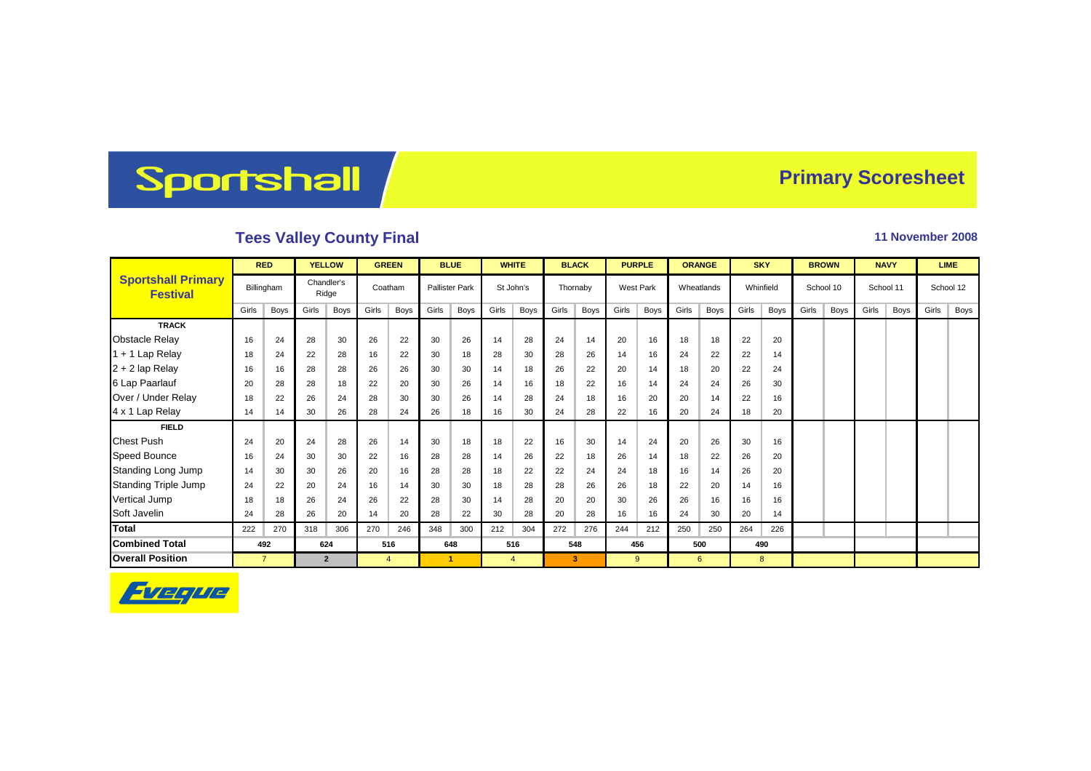## Sportshall

## **Primary Scoresheet**

## **Tees Valley County Final 11 November 2008**

|                                              | <b>RED</b>     |            | <b>YELLOW</b>  |                     | <b>GREEN</b> |         | <b>BLUE</b> |                       | <b>WHITE</b> |                | <b>BLACK</b> |             | <b>PURPLE</b> |                  | <b>ORANGE</b> |            | <b>SKY</b> |           | <b>BROWN</b> |           | <b>NAVY</b> |      | <b>LIME</b> |      |
|----------------------------------------------|----------------|------------|----------------|---------------------|--------------|---------|-------------|-----------------------|--------------|----------------|--------------|-------------|---------------|------------------|---------------|------------|------------|-----------|--------------|-----------|-------------|------|-------------|------|
| <b>Sportshall Primary</b><br><b>Festival</b> |                | Billingham |                | Chandler's<br>Ridge |              | Coatham |             | <b>Pallister Park</b> |              | St John's      |              | Thornaby    |               | <b>West Park</b> |               | Wheatlands |            | Whinfield |              | School 10 | School 11   |      | School 12   |      |
|                                              | Girls          | Boys       | Girls          | Boys                | Girls        | Boys    | Girls       | Boys                  | Girls        | Boys           | Girls        | <b>Boys</b> | Girls         | Boys             | Girls         | Boys       | Girls      | Boys      | Girls        | Boys      | Girls       | Boys | Girls       | Boys |
| <b>TRACK</b>                                 |                |            |                |                     |              |         |             |                       |              |                |              |             |               |                  |               |            |            |           |              |           |             |      |             |      |
| <b>Obstacle Relay</b>                        | 16             | 24         | 28             | 30                  | 26           | 22      | 30          | 26                    | 14           | 28             | 24           | 14          | 20            | 16               | 18            | 18         | 22         | 20        |              |           |             |      |             |      |
| 1 + 1 Lap Relay                              | 18             | 24         | 22             | 28                  | 16           | 22      | 30          | 18                    | 28           | 30             | 28           | 26          | 14            | 16               | 24            | 22         | 22         | 14        |              |           |             |      |             |      |
| $2 + 2$ lap Relay                            | 16             | 16         | 28             | 28                  | 26           | 26      | 30          | 30                    | 14           | 18             | 26           | 22          | 20            | 14               | 18            | 20         | 22         | 24        |              |           |             |      |             |      |
| 6 Lap Paarlauf                               | 20             | 28         | 28             | 18                  | 22           | 20      | 30          | 26                    | 14           | 16             | 18           | 22          | 16            | 14               | 24            | 24         | 26         | 30        |              |           |             |      |             |      |
| Over / Under Relay                           | 18             | 22         | 26             | 24                  | 28           | 30      | 30          | 26                    | 14           | 28             | 24           | 18          | 16            | 20               | 20            | 14         | 22         | 16        |              |           |             |      |             |      |
| 4 x 1 Lap Relay                              | 14             | 14         | 30             | 26                  | 28           | 24      | 26          | 18                    | 16           | 30             | 24           | 28          | 22            | 16               | 20            | 24         | 18         | 20        |              |           |             |      |             |      |
| <b>FIELD</b>                                 |                |            |                |                     |              |         |             |                       |              |                |              |             |               |                  |               |            |            |           |              |           |             |      |             |      |
| <b>Chest Push</b>                            | 24             | 20         | 24             | 28                  | 26           | 14      | 30          | 18                    | 18           | 22             | 16           | 30          | 14            | 24               | 20            | 26         | 30         | 16        |              |           |             |      |             |      |
| <b>Speed Bounce</b>                          | 16             | 24         | 30             | 30                  | 22           | 16      | 28          | 28                    | 14           | 26             | 22           | 18          | 26            | 14               | 18            | 22         | 26         | 20        |              |           |             |      |             |      |
| Standing Long Jump                           | 14             | 30         | 30             | 26                  | 20           | 16      | 28          | 28                    | 18           | 22             | 22           | 24          | 24            | 18               | 16            | 14         | 26         | 20        |              |           |             |      |             |      |
| <b>Standing Triple Jump</b>                  | 24             | 22         | 20             | 24                  | 16           | 14      | 30          | 30                    | 18           | 28             | 28           | 26          | 26            | 18               | 22            | 20         | 14         | 16        |              |           |             |      |             |      |
| Vertical Jump                                | 18             | 18         | 26             | 24                  | 26           | 22      | 28          | 30                    | 14           | 28             | 20           | 20          | 30            | 26               | 26            | 16         | 16         | 16        |              |           |             |      |             |      |
| Soft Javelin                                 | 24             | 28         | 26             | 20                  | 14           | 20      | 28          | 22                    | 30           | 28             | 20           | 28          | 16            | 16               | 24            | 30         | 20         | 14        |              |           |             |      |             |      |
| <b>Total</b>                                 | 222            | 270        | 318            | 306                 | 270          | 246     | 348         | 300                   | 212          | 304            | 272          | 276         | 244           | 212              | 250           | 250        | 264        | 226       |              |           |             |      |             |      |
| <b>Combined Total</b>                        |                | 492        |                | 624                 |              | 516     |             | 648                   |              | 516            |              | 548         |               | 456              |               | 500        |            | 490       |              |           |             |      |             |      |
| <b>Overall Position</b>                      | $\overline{7}$ |            | $\overline{2}$ |                     | 4            |         |             | -1                    |              | $\overline{4}$ |              | 3           |               | 9                |               | 6          |            | 8         |              |           |             |      |             |      |

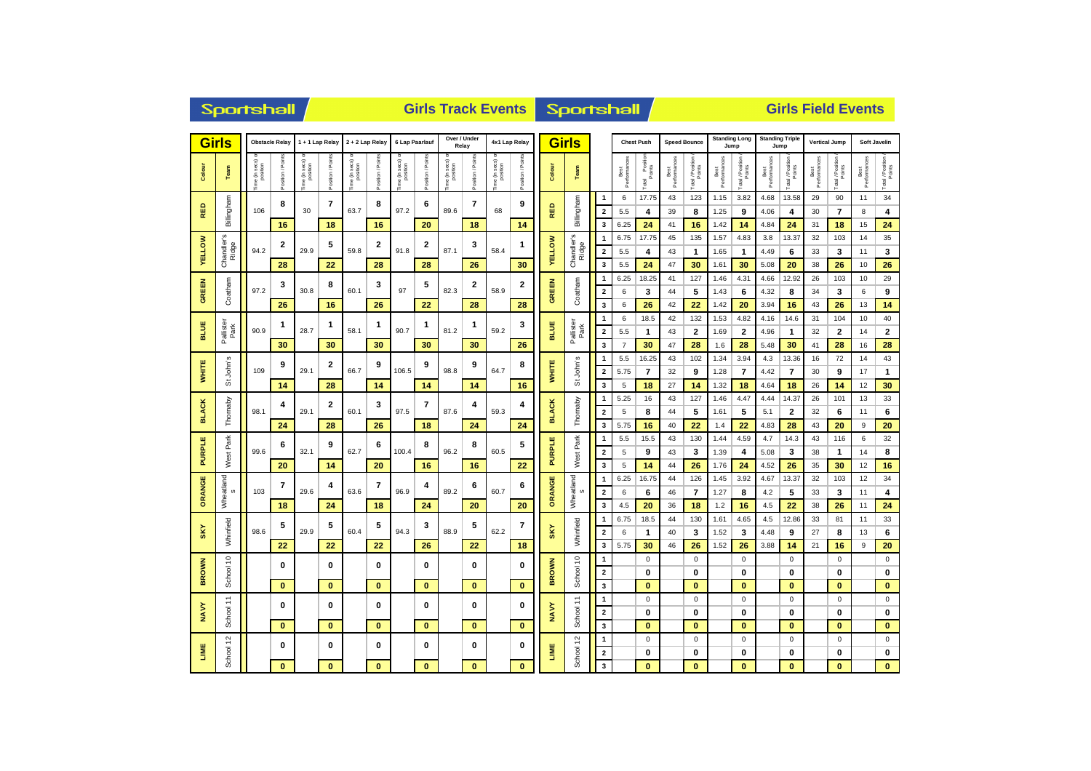|               | Sportshall                            |                |               |                          |                                               |                                              |                    |                 |                          |                              | <b>Girls Track Events Sportshall</b> |                 |                   |               |                               | <b>Girls Field Events</b>               |                      |                         |                     |                       |                              |                                 |                                |                            |                      |                            |                   |                            |
|---------------|---------------------------------------|----------------|---------------|--------------------------|-----------------------------------------------|----------------------------------------------|--------------------|-----------------|--------------------------|------------------------------|--------------------------------------|-----------------|-------------------|---------------|-------------------------------|-----------------------------------------|----------------------|-------------------------|---------------------|-----------------------|------------------------------|---------------------------------|--------------------------------|----------------------------|----------------------|----------------------------|-------------------|----------------------------|
|               | <b>Girls</b><br><b>Obstacle Relay</b> |                |               | 1+1 Lap Relay            |                                               | 2 + 2 Lap Relay                              |                    | 6 Lap Paarlauf  |                          | Over / Under<br>Relay        |                                      | 4x1 Lap Relay   |                   | <b>Girls</b>  |                               |                                         | <b>Chest Push</b>    |                         | <b>Speed Bounce</b> |                       | <b>Standing Long</b><br>Jump |                                 | <b>Standing Triple</b><br>Jump |                            | <b>Vertical Jump</b> |                            | Soft Javelin      |                            |
| Colour        | Team                                  | ie (in secs) o | sition / Poir | ie (in secs)<br>position | osition / Points                              | sec <sub>S</sub><br>$\frac{5}{2}$<br>e (in s | Position / Points  | ime (in secs) o | Position / Poir          | ime (in secs) or<br>position | Position / Points                    | ime (in secs) o | Position / Points | Colour        | Team                          |                                         | Best<br>Performances | Total Position          | Best<br>Performanc  | Total / Position      | Best<br>Performances         | Total / Position                | Best<br>Performances           | Total / Position           | Best<br>Performances | Total / Position<br>Points | Best<br>Performan | Total / Position           |
| 岛<br>œ        | Billingham                            | 106            | 8             | 30                       | $\overline{7}$                                | 63.7                                         | 8                  | 97.2            | 6                        | 89.6                         | 7                                    | 68              | 9                 | RED           | Billingham                    | 1<br>$\overline{\mathbf{2}}$            | 6<br>5.5             | 17.75<br>4              | 43<br>39            | 123<br>8              | 1.15<br>1.25                 | 3.82<br>9                       | 4.68<br>4.06                   | 13.58<br>4                 | 29<br>30             | 90<br>$\overline{7}$       | 11<br>8           | 34<br>4                    |
|               | S                                     |                | 16<br>2       |                          | 18<br>5                                       |                                              | 16<br>$\mathbf{2}$ |                 | 20<br>2                  |                              | 18<br>3                              |                 | 14<br>1           |               |                               | 3<br>$\mathbf{1}$                       | 6.25<br>6.75         | 24<br>17.75             | 41<br>45            | 16<br>135             | 1.42<br>1.57                 | 14<br>4.83                      | 4.84<br>3.8                    | 24<br>13.37                | 31<br>32             | 18<br>103                  | 15<br>14          | 24<br>35                   |
| <b>VELLOW</b> | Chandler's<br>Ridge                   | 94.2           | 28            | 29.9                     | 22                                            | 59.8                                         | 28                 | 91.8            | 28                       | 87.1                         | 26                                   | 58.4            | 30                | <b>VELLOW</b> | Chandler's<br>Ridge           | $\overline{\mathbf{2}}$<br>3            | 5.5<br>5.5           | 4<br>24                 | 43<br>47            | $\mathbf{1}$<br>30    | 1.65<br>1.61                 | $\mathbf{1}$<br>30              | 4.49<br>5.08                   | 6<br>20                    | 33<br>38             | 3<br>26                    | 11<br>10          | 3<br>26                    |
| <b>GREEN</b>  | Coatham                               | 97.2           | 3             | 30.8                     | 8<br>16                                       | 60.1                                         | 3                  | 97              | 5                        | 82.3                         | 2                                    | 58.9            | 2                 | <b>GREEN</b>  | Coatham                       | 1<br>$\overline{\mathbf{2}}$            | 6.25<br>6            | 18.25<br>3              | 41<br>44            | 127<br>5              | 1.46<br>1.43                 | 4.31<br>6                       | 4.66<br>4.32                   | 12.92<br>8                 | 26<br>34             | 103<br>3                   | 10<br>6           | 29<br>9                    |
|               |                                       |                | 26            |                          |                                               |                                              | 26                 |                 | 22                       |                              | 28                                   |                 | 28                |               |                               | 3                                       | 6                    | 26                      | 42                  | 22                    | 1.42                         | 20                              | 3.94                           | 16                         | 43                   | 26                         | 13                | 14                         |
| <b>BLUE</b>   | Pallister<br>Park                     | 90.9           | 1             | 28.7                     | 1<br>58.1<br>30                               |                                              | 1                  | 90.7            | 1                        | 81.2                         | 1                                    | 59.2            | 3                 | BLUE          | Pallister<br>Park             | 1<br>$\overline{\mathbf{2}}$            | 6<br>5.5             | 18.5<br>$\mathbf 1$     | 42<br>43            | 132<br>$\overline{2}$ | 1.53<br>1.69                 | 4.82<br>$\overline{\mathbf{2}}$ | 4.16<br>4.96                   | 14.6<br>$\mathbf{1}$       | 31<br>32             | 104<br>$\mathbf{2}$        | 10<br>14          | 40<br>$\bf{2}$             |
|               |                                       |                | 30            |                          |                                               |                                              | 30                 |                 | 30                       |                              | 30                                   |                 | 26                |               |                               | $\mathbf{3}$                            | $\overline{7}$       | 30                      | 47                  | 28                    | 1.6                          | 28                              | 5.48                           | 30                         | 41                   | 28                         | 16                | 28                         |
|               |                                       |                | 9             |                          | 2                                             |                                              | 9                  |                 | 9                        |                              | 9                                    |                 | 8                 |               |                               | $\mathbf{1}$                            | 5.5                  | 16.25                   | 43                  | 102                   | 1.34                         | 3.94                            | 4.3                            | 13.36                      | 16                   | 72                         | 14                | 43                         |
| <b>WHITE</b>  | St John's                             | 109            |               | 29.1                     |                                               | 66.7                                         |                    | 106.5           |                          | 98.8                         |                                      | 64.7            |                   | <b>WHITE</b>  | St John's                     | $\overline{\mathbf{2}}$                 | 5.75                 | $\overline{7}$          | 32                  | 9                     | 1.28                         | $\overline{7}$                  | 4.42                           | $\overline{7}$             | 30                   | 9                          | 17                | $\mathbf{1}$               |
|               |                                       |                | 14            |                          | 28                                            |                                              | 14                 |                 | 14                       |                              | 14                                   |                 | 16                |               |                               | 3                                       | 5<br>5.25            | 18                      | 27                  | 14                    | 1.32                         | 18                              | 4.64                           | 18                         | 26                   | 14                         | 12                | 30                         |
| <b>BLACK</b>  | Thornaby                              | 98.1           | 4             | 29.1                     | $\mathbf{2}$                                  | 60.1                                         | 3                  | 97.5            | $\overline{\phantom{a}}$ | 4<br>87.6                    |                                      | 59.3            | 4                 | <b>BLACK</b>  | Thornaby                      | $\mathbf{1}$<br>$\overline{2}$          | 5                    | 16<br>8                 | 43<br>44            | 127<br>5              | 1.46<br>1.61                 | 4.47<br>5                       | 4.44<br>5.1                    | 14.37<br>$\mathbf{2}$      | 26<br>32             | 101<br>6                   | 13<br>11          | 33<br>6                    |
|               |                                       |                | 24            |                          | 28                                            |                                              | 26                 |                 | 18                       |                              | 24                                   |                 | 24                |               |                               | 3                                       | 5.75                 | 16                      | 40                  | 22                    | 1.4                          | 22                              | 4.83                           | 28                         | 43                   | 20                         | 9                 | 20                         |
|               | West Park                             |                | 6             |                          | 9                                             |                                              | 6                  |                 | 8                        |                              | 8                                    |                 | 5                 |               | Park                          | $\mathbf{1}$                            | 5.5                  | 15.5                    | 43                  | 130                   | 1.44                         | 4.59                            | 4.7                            | 14.3                       | 43                   | 116                        | 6                 | 32                         |
| <b>PURPLE</b> |                                       | 99.6           |               | 32.1                     |                                               | 62.7                                         |                    | 100.4           |                          | 96.2                         |                                      | 60.5            |                   | <b>PURPLE</b> | West<br>Wheatland<br>$\omega$ | $\mathbf 2$                             | 5                    | 9                       | 43                  | 3                     | 1.39                         | 4                               | 5.08                           | 3                          | 38                   | 1                          | 14                | 8                          |
|               |                                       |                | 20            |                          | 14                                            |                                              | 20                 |                 | 16                       |                              | 16                                   |                 | 22                |               |                               | 3<br>$\mathbf{1}$                       | 5<br>6.25            | 14<br>16.75             | 44<br>44            | 26<br>126             | 1.76<br>1.45                 | 24<br>3.92                      | 4.52<br>4.67                   | 26<br>13.37                | 35<br>32             | 30<br>103                  | 12<br>12          | 16<br>34                   |
| ORANGE        | Wheatland<br>$\omega$                 | 103            | 7             | 29.6                     | 4                                             | 63.6                                         | 7                  | 96.9            | 4                        | 89.2                         | 6                                    | 60.7            | 6                 | ORANGE        |                               | $\overline{\mathbf{2}}$                 | 6                    | 6                       | 46                  | $\overline{7}$        | 1.27                         | 8                               | 4.2                            | 5                          | 33                   | 3                          | 11                | 4                          |
|               |                                       |                | 18            |                          | 24                                            |                                              | 18                 |                 | 24                       |                              | 20                                   |                 | 20                |               |                               | $\overline{\mathbf{3}}$                 | 4.5                  | 20                      | 36                  | 18                    | 1.2                          | 16                              | 4.5                            | 22                         | 38                   | 26                         | 11                | 24                         |
|               |                                       |                | 5             |                          | 5                                             |                                              | 5                  |                 | 3                        |                              | 5                                    |                 | 7                 |               |                               | $\mathbf{1}$                            | 6.75                 | 18.5                    | 44                  | 130                   | 1.61                         | 4.65                            | 4.5                            | 12.86                      | 33                   | 81                         | 11                | 33                         |
| <b>SKY</b>    | Whinfield                             | 98.6           |               | 29.9                     |                                               | 60.4                                         |                    | 94.3            |                          | 88.9                         |                                      | 62.2            |                   | SKY           | Whinfield                     | $\overline{\mathbf{2}}$                 | 6                    | $\mathbf{1}$            | 40                  | 3                     | 1.52                         | 3                               | 4.48                           | 9                          | 27                   | 8                          | 13                | 6                          |
|               |                                       |                | 22            |                          | 22                                            |                                              | 22                 |                 | 26                       |                              | 22                                   |                 | 18                |               |                               | $\overline{\mathbf{3}}$<br>$\mathbf{1}$ | 5.75                 | 30<br>$\mathsf 0$       | 46                  | 26<br>$\mathsf 0$     | 1.52                         | 26<br>$\pmb{0}$                 | 3.88                           | 14<br>$\mathbf 0$          | 21                   | 16<br>$\mathbf 0$          | 9                 | 20<br>$\pmb{0}$            |
| <b>BROWN</b>  | School 10                             |                | 0             |                          | 0                                             |                                              | 0                  |                 | 0                        |                              | $\bf{0}$                             |                 | 0                 | <b>BROWN</b>  | School 10                     | $\mathbf{2}$                            |                      | $\bf{0}$                |                     | $\bf{0}$              |                              | 0                               |                                | $\mathbf{0}$               |                      | $\bf{0}$                   |                   | $\mathbf 0$                |
|               |                                       |                | $\bf{0}$      |                          | $\bf{0}$                                      |                                              | $\bf{0}$           |                 | $\bf{0}$                 |                              | $\mathbf{0}$                         |                 | $\mathbf{0}$      |               |                               | 3                                       |                      | $\bf{0}$                |                     | $\bf{0}$              |                              | $\bf{0}$                        |                                | $\bf{0}$                   |                      | $\bf{0}$                   |                   | $\bf{0}$                   |
|               | ÷                                     |                | 0             |                          | $\bf{0}$<br>0<br>$\mathbf{0}$<br>$\mathbf{0}$ |                                              |                    |                 | 0                        |                              | $\bf{0}$                             |                 | 0                 |               | $\div$                        | 1                                       |                      | $\mathsf 0$             |                     | $\mathsf 0$           |                              | $\pmb{0}$                       |                                | $\pmb{0}$                  |                      | $\mathbf 0$                |                   | $\mathbf 0$                |
| NAVY          | School                                |                |               |                          |                                               |                                              |                    |                 |                          |                              |                                      |                 | NAVY              | School -      | $\mathbf{2}$                  |                                         | $\bf{0}$             |                         | $\bf{0}$            |                       | 0                            |                                 | 0                              |                            | 0                    |                            | 0                 |                            |
|               |                                       |                | $\mathbf{0}$  |                          |                                               |                                              | $\mathbf{0}$       |                 | $\mathbf{0}$             |                              | $\mathbf{0}$                         |                 |                   | 3             |                               | $\bf{0}$                                |                      | $\bf{0}$                |                     | $\mathbf{0}$          |                              | $\mathbf{0}$                    |                                | $\mathbf{0}$               |                      | $\mathbf{0}$               |                   |                            |
| LIME          | School 12                             |                | $\bf{0}$      |                          | 0                                             |                                              | $\bf{0}$           |                 | 0                        |                              | $\mathbf 0$                          |                 | 0                 | LIME          | School 12                     | 1<br>$\overline{2}$                     |                      | $\mathbf 0$<br>$\bf{0}$ |                     | $\mathbf 0$<br>0      |                              | $\mathbf 0$<br>0                |                                | $\mathbf 0$<br>$\mathbf 0$ |                      | $\mathbf 0$<br>0           |                   | $\mathbf 0$<br>$\mathbf 0$ |
|               |                                       |                | $\bf{0}$      |                          | $\bf{0}$                                      |                                              | $\bf{0}$           |                 | $\bf{0}$                 |                              | $\bf{0}$                             |                 | $\mathbf{0}$      |               |                               | $\mathbf{3}$                            |                      | $\bf{0}$                |                     | $\mathbf{0}$          |                              | $\bf{0}$                        |                                | $\mathbf{0}$               |                      | $\bf{0}$                   |                   | $\mathbf{0}$               |